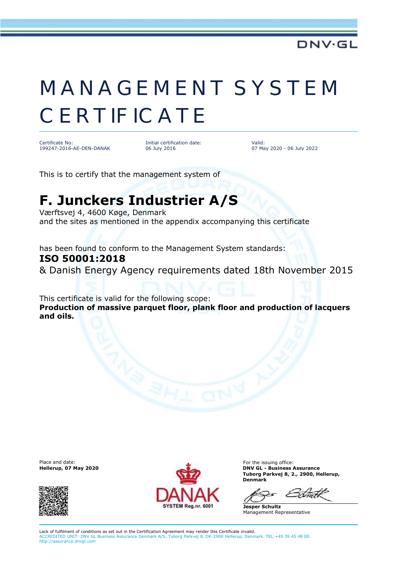## MANAGEMENT SYSTEM **CERTIFICATE**

Certificate No: 199247-2016-AE-DEN-DANAK

Initial certification date: 06 July 2016

Valid: 07 May 2020 - 06 July 2022

This is to certify that the management system of

## **F. Junckers Industrier A/S**

Værftsvej 4, 4600 Køge, Denmark and the sites as mentioned in the appendix accompanying this certificate

has been found to conform to the Management System standards: **ISO 50001:2018**

& Danish Energy Agency requirements dated 18th November 2015

This certificate is valid for the following scope: **Production of massive parquet floor, plank floor and production of lacquers and oils.**





**DNV GL - Business Assurance Tuborg Parkvej 8, 2., 2900, Hellerup, Denmark**

**Jesper Schultz** Management Representative

Lack of fulfilment of conditions as set out in the Certification Agreement may render this Certificate invalid. ACCREDITED UNIT: DNV GL Business Assurance Denmark A/S, Tuborg Parkvej 8, DK-2900 Hellerup, Denmark. TEL:+45 39 45 48 00. http://assurance.dnvgl.com